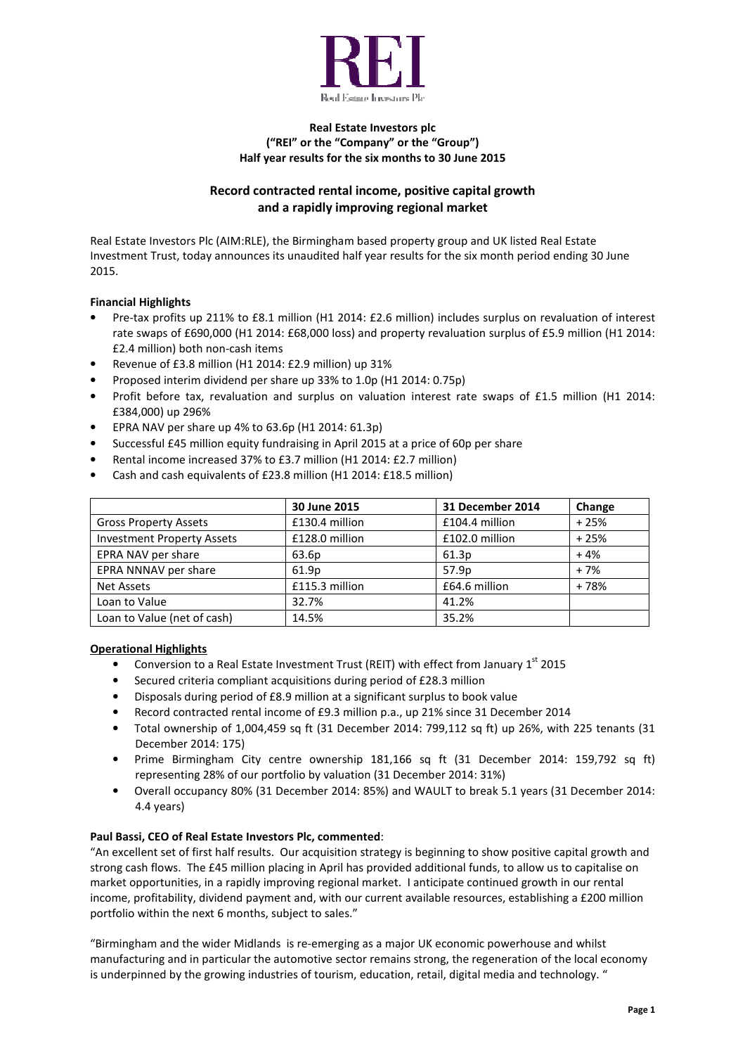

### Real Estate Investors plc ("REI" or the "Company" or the "Group") Half year results for the six months to 30 June 2015

# Record contracted rental income, positive capital growth and a rapidly improving regional market

Real Estate Investors Plc (AIM:RLE), the Birmingham based property group and UK listed Real Estate Investment Trust, today announces its unaudited half year results for the six month period ending 30 June 2015.

### Financial Highlights

- Pre-tax profits up 211% to £8.1 million (H1 2014: £2.6 million) includes surplus on revaluation of interest rate swaps of £690,000 (H1 2014: £68,000 loss) and property revaluation surplus of £5.9 million (H1 2014: £2.4 million) both non-cash items
- Revenue of £3.8 million (H1 2014: £2.9 million) up 31%
- Proposed interim dividend per share up 33% to 1.0p (H1 2014: 0.75p)
- Profit before tax, revaluation and surplus on valuation interest rate swaps of £1.5 million (H1 2014: £384,000) up 296%
- EPRA NAV per share up 4% to 63.6p (H1 2014: 61.3p)
- Successful £45 million equity fundraising in April 2015 at a price of 60p per share
- Rental income increased 37% to £3.7 million (H1 2014: £2.7 million)
- Cash and cash equivalents of £23.8 million (H1 2014: £18.5 million)

|                                   | 30 June 2015   | 31 December 2014  | Change |
|-----------------------------------|----------------|-------------------|--------|
| <b>Gross Property Assets</b>      | £130.4 million | £104.4 million    | $+25%$ |
| <b>Investment Property Assets</b> | £128.0 million | £102.0 million    | $+25%$ |
| EPRA NAV per share                | 63.6p          | 61.3p             | $+4%$  |
| EPRA NNNAV per share              | 61.9p          | 57.9 <sub>p</sub> | $+7%$  |
| <b>Net Assets</b>                 | £115.3 million | £64.6 million     | $+78%$ |
| Loan to Value                     | 32.7%          | 41.2%             |        |
| Loan to Value (net of cash)       | 14.5%          | 35.2%             |        |

### Operational Highlights

- Conversion to a Real Estate Investment Trust (REIT) with effect from January  $1<sup>st</sup>$  2015
- Secured criteria compliant acquisitions during period of £28.3 million
- Disposals during period of £8.9 million at a significant surplus to book value
- Record contracted rental income of £9.3 million p.a., up 21% since 31 December 2014
- Total ownership of 1,004,459 sq ft (31 December 2014: 799,112 sq ft) up 26%, with 225 tenants (31 December 2014: 175)
- Prime Birmingham City centre ownership 181,166 sq ft (31 December 2014: 159,792 sq ft) representing 28% of our portfolio by valuation (31 December 2014: 31%)
- Overall occupancy 80% (31 December 2014: 85%) and WAULT to break 5.1 years (31 December 2014: 4.4 years)

### Paul Bassi, CEO of Real Estate Investors Plc, commented:

"An excellent set of first half results. Our acquisition strategy is beginning to show positive capital growth and strong cash flows. The £45 million placing in April has provided additional funds, to allow us to capitalise on market opportunities, in a rapidly improving regional market. I anticipate continued growth in our rental income, profitability, dividend payment and, with our current available resources, establishing a £200 million portfolio within the next 6 months, subject to sales."

"Birmingham and the wider Midlands is re-emerging as a major UK economic powerhouse and whilst manufacturing and in particular the automotive sector remains strong, the regeneration of the local economy is underpinned by the growing industries of tourism, education, retail, digital media and technology. "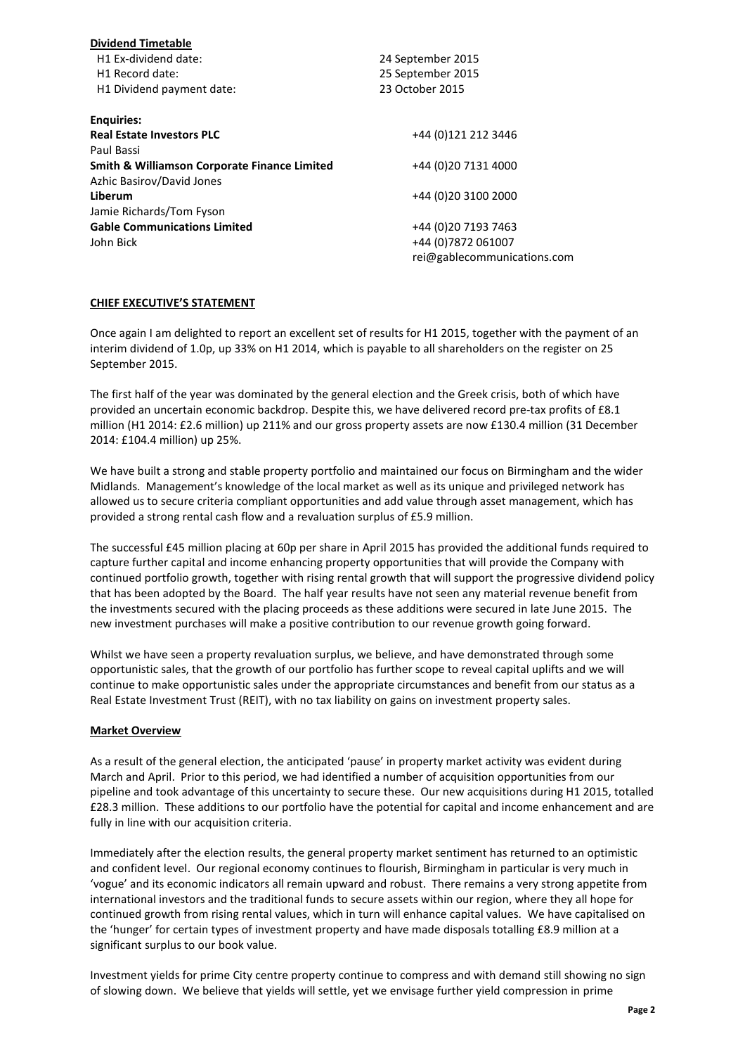| <b>Dividend Timetable</b>                               |                             |
|---------------------------------------------------------|-----------------------------|
| H1 Ex-dividend date:                                    | 24 September 2015           |
| H <sub>1</sub> Record date:                             | 25 September 2015           |
| H1 Dividend payment date:                               | 23 October 2015             |
| <b>Enquiries:</b>                                       |                             |
| <b>Real Estate Investors PLC</b>                        | +44 (0)121 212 3446         |
| Paul Bassi                                              |                             |
| <b>Smith &amp; Williamson Corporate Finance Limited</b> | +44 (0) 20 7131 4000        |
| Azhic Basirov/David Jones                               |                             |
| Liberum                                                 | +44 (0)20 3100 2000         |
| Jamie Richards/Tom Fyson                                |                             |
| <b>Gable Communications Limited</b>                     | +44 (0) 20 7193 7463        |
| John Bick                                               | +44 (0) 7872 061007         |
|                                                         | rei@gablecommunications.com |

### CHIEF EXECUTIVE'S STATEMENT

Once again I am delighted to report an excellent set of results for H1 2015, together with the payment of an interim dividend of 1.0p, up 33% on H1 2014, which is payable to all shareholders on the register on 25 September 2015.

The first half of the year was dominated by the general election and the Greek crisis, both of which have provided an uncertain economic backdrop. Despite this, we have delivered record pre-tax profits of £8.1 million (H1 2014: £2.6 million) up 211% and our gross property assets are now £130.4 million (31 December 2014: £104.4 million) up 25%.

We have built a strong and stable property portfolio and maintained our focus on Birmingham and the wider Midlands. Management's knowledge of the local market as well as its unique and privileged network has allowed us to secure criteria compliant opportunities and add value through asset management, which has provided a strong rental cash flow and a revaluation surplus of £5.9 million.

The successful £45 million placing at 60p per share in April 2015 has provided the additional funds required to capture further capital and income enhancing property opportunities that will provide the Company with continued portfolio growth, together with rising rental growth that will support the progressive dividend policy that has been adopted by the Board. The half year results have not seen any material revenue benefit from the investments secured with the placing proceeds as these additions were secured in late June 2015. The new investment purchases will make a positive contribution to our revenue growth going forward.

Whilst we have seen a property revaluation surplus, we believe, and have demonstrated through some opportunistic sales, that the growth of our portfolio has further scope to reveal capital uplifts and we will continue to make opportunistic sales under the appropriate circumstances and benefit from our status as a Real Estate Investment Trust (REIT), with no tax liability on gains on investment property sales.

### Market Overview

As a result of the general election, the anticipated 'pause' in property market activity was evident during March and April. Prior to this period, we had identified a number of acquisition opportunities from our pipeline and took advantage of this uncertainty to secure these. Our new acquisitions during H1 2015, totalled £28.3 million. These additions to our portfolio have the potential for capital and income enhancement and are fully in line with our acquisition criteria.

Immediately after the election results, the general property market sentiment has returned to an optimistic and confident level. Our regional economy continues to flourish, Birmingham in particular is very much in 'vogue' and its economic indicators all remain upward and robust. There remains a very strong appetite from international investors and the traditional funds to secure assets within our region, where they all hope for continued growth from rising rental values, which in turn will enhance capital values. We have capitalised on the 'hunger' for certain types of investment property and have made disposals totalling £8.9 million at a significant surplus to our book value.

Investment yields for prime City centre property continue to compress and with demand still showing no sign of slowing down. We believe that yields will settle, yet we envisage further yield compression in prime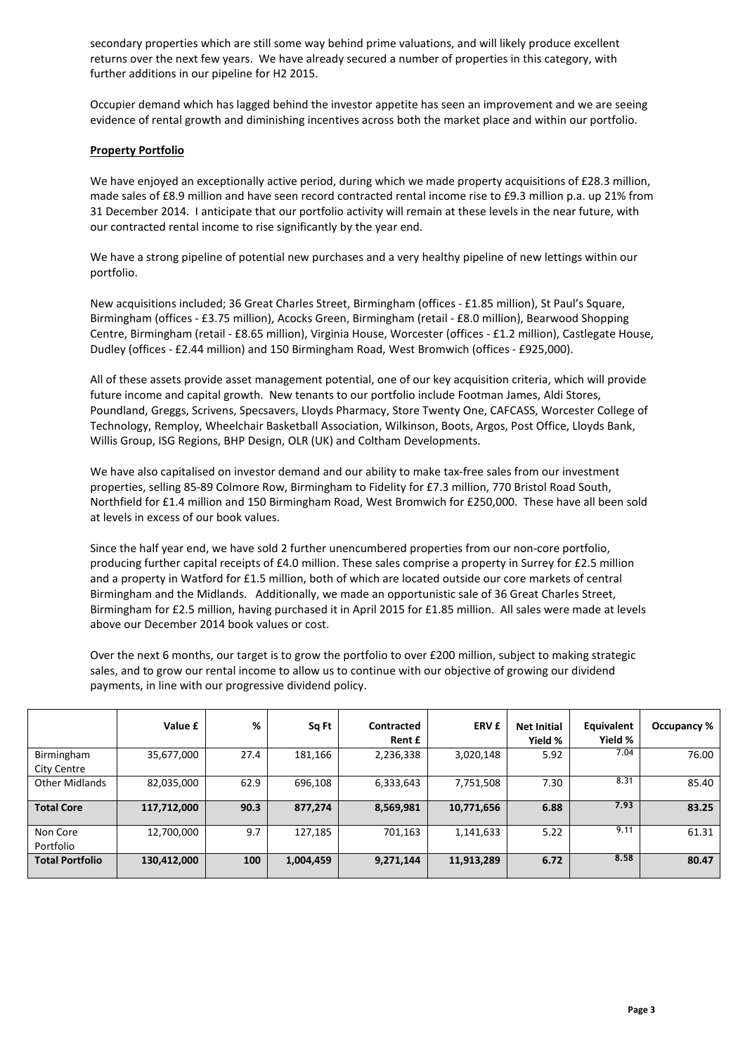secondary properties which are still some way behind prime valuations, and will likely produce excellent returns over the next few years. We have already secured a number of properties in this category, with further additions in our pipeline for H2 2015.

Occupier demand which has lagged behind the investor appetite has seen an improvement and we are seeing evidence of rental growth and diminishing incentives across both the market place and within our portfolio.

### Property Portfolio

We have enjoyed an exceptionally active period, during which we made property acquisitions of £28.3 million, made sales of £8.9 million and have seen record contracted rental income rise to £9.3 million p.a. up 21% from 31 December 2014. I anticipate that our portfolio activity will remain at these levels in the near future, with our contracted rental income to rise significantly by the year end.

We have a strong pipeline of potential new purchases and a very healthy pipeline of new lettings within our portfolio.

New acquisitions included; 36 Great Charles Street, Birmingham (offices - £1.85 million), St Paul's Square, Birmingham (offices - £3.75 million), Acocks Green, Birmingham (retail - £8.0 million), Bearwood Shopping Centre, Birmingham (retail - £8.65 million), Virginia House, Worcester (offices - £1.2 million), Castlegate House, Dudley (offices - £2.44 million) and 150 Birmingham Road, West Bromwich (offices - £925,000).

All of these assets provide asset management potential, one of our key acquisition criteria, which will provide future income and capital growth. New tenants to our portfolio include Footman James, Aldi Stores, Poundland, Greggs, Scrivens, Specsavers, Lloyds Pharmacy, Store Twenty One, CAFCASS, Worcester College of Technology, Remploy, Wheelchair Basketball Association, Wilkinson, Boots, Argos, Post Office, Lloyds Bank, Willis Group, ISG Regions, BHP Design, OLR (UK) and Coltham Developments.

We have also capitalised on investor demand and our ability to make tax-free sales from our investment properties, selling 85-89 Colmore Row, Birmingham to Fidelity for £7.3 million, 770 Bristol Road South, Northfield for £1.4 million and 150 Birmingham Road, West Bromwich for £250,000. These have all been sold at levels in excess of our book values.

Since the half year end, we have sold 2 further unencumbered properties from our non-core portfolio, producing further capital receipts of £4.0 million. These sales comprise a property in Surrey for £2.5 million and a property in Watford for £1.5 million, both of which are located outside our core markets of central Birmingham and the Midlands. Additionally, we made an opportunistic sale of 36 Great Charles Street, Birmingham for £2.5 million, having purchased it in April 2015 for £1.85 million. All sales were made at levels above our December 2014 book values or cost.

Over the next 6 months, our target is to grow the portfolio to over £200 million, subject to making strategic sales, and to grow our rental income to allow us to continue with our objective of growing our dividend payments, in line with our progressive dividend policy.

|                           | Value £     | %    | Sq Ft     | Contracted<br>Rent £ | <b>ERV £</b> | <b>Net Initial</b><br>Yield % | Equivalent<br>Yield % | Occupancy % |
|---------------------------|-------------|------|-----------|----------------------|--------------|-------------------------------|-----------------------|-------------|
| Birmingham<br>City Centre | 35,677,000  | 27.4 | 181,166   | 2,236,338            | 3,020,148    | 5.92                          | 7.04                  | 76.00       |
| <b>Other Midlands</b>     | 82,035,000  | 62.9 | 696,108   | 6,333,643            | 7,751,508    | 7.30                          | 8.31                  | 85.40       |
| <b>Total Core</b>         | 117,712,000 | 90.3 | 877,274   | 8,569,981            | 10,771,656   | 6.88                          | 7.93                  | 83.25       |
| Non Core<br>Portfolio     | 12,700,000  | 9.7  | 127,185   | 701,163              | 1,141,633    | 5.22                          | 9.11                  | 61.31       |
| <b>Total Portfolio</b>    | 130,412,000 | 100  | 1,004,459 | 9,271,144            | 11,913,289   | 6.72                          | 8.58                  | 80.47       |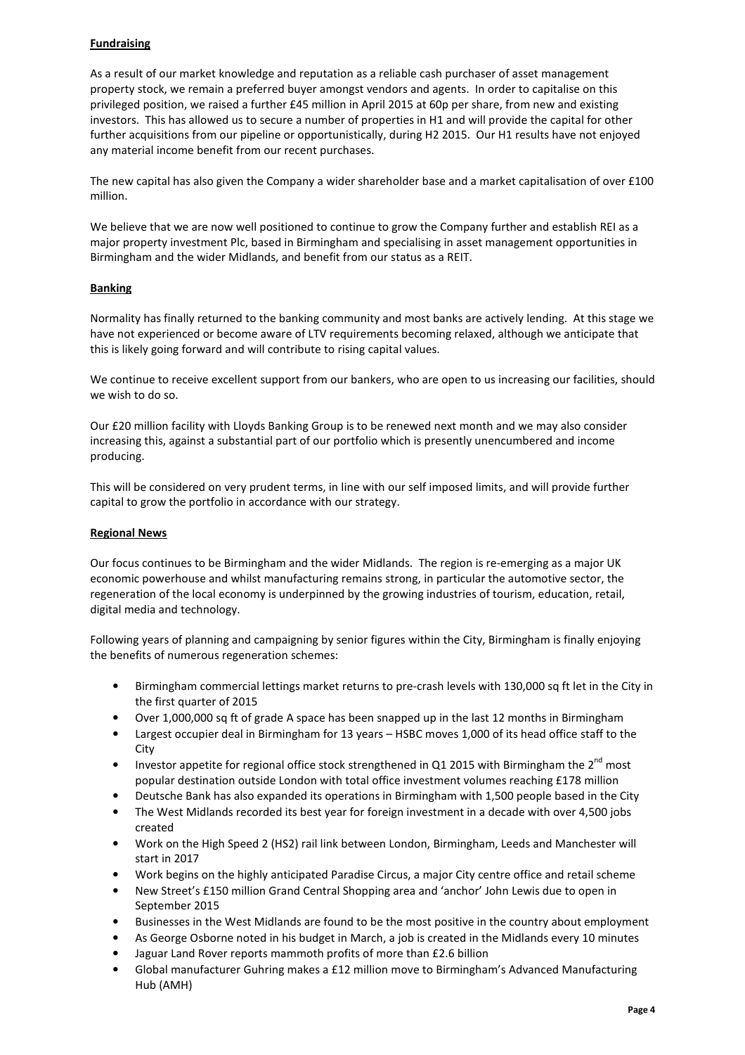### **Fundraising**

As a result of our market knowledge and reputation as a reliable cash purchaser of asset management property stock, we remain a preferred buyer amongst vendors and agents. In order to capitalise on this privileged position, we raised a further £45 million in April 2015 at 60p per share, from new and existing investors. This has allowed us to secure a number of properties in H1 and will provide the capital for other further acquisitions from our pipeline or opportunistically, during H2 2015. Our H1 results have not enjoyed any material income benefit from our recent purchases.

The new capital has also given the Company a wider shareholder base and a market capitalisation of over £100 million.

We believe that we are now well positioned to continue to grow the Company further and establish REI as a major property investment Plc, based in Birmingham and specialising in asset management opportunities in Birmingham and the wider Midlands, and benefit from our status as a REIT.

### **Banking**

Normality has finally returned to the banking community and most banks are actively lending. At this stage we have not experienced or become aware of LTV requirements becoming relaxed, although we anticipate that this is likely going forward and will contribute to rising capital values.

We continue to receive excellent support from our bankers, who are open to us increasing our facilities, should we wish to do so.

Our £20 million facility with Lloyds Banking Group is to be renewed next month and we may also consider increasing this, against a substantial part of our portfolio which is presently unencumbered and income producing.

This will be considered on very prudent terms, in line with our self imposed limits, and will provide further capital to grow the portfolio in accordance with our strategy.

### Regional News

Our focus continues to be Birmingham and the wider Midlands. The region is re-emerging as a major UK economic powerhouse and whilst manufacturing remains strong, in particular the automotive sector, the regeneration of the local economy is underpinned by the growing industries of tourism, education, retail, digital media and technology.

Following years of planning and campaigning by senior figures within the City, Birmingham is finally enjoying the benefits of numerous regeneration schemes:

- Birmingham commercial lettings market returns to pre-crash levels with 130,000 sq ft let in the City in the first quarter of 2015
- Over 1,000,000 sq ft of grade A space has been snapped up in the last 12 months in Birmingham
- Largest occupier deal in Birmingham for 13 years HSBC moves 1,000 of its head office staff to the **City**
- Investor appetite for regional office stock strengthened in Q1 2015 with Birmingham the  $2^{nd}$  most popular destination outside London with total office investment volumes reaching £178 million
- Deutsche Bank has also expanded its operations in Birmingham with 1,500 people based in the City
- The West Midlands recorded its best year for foreign investment in a decade with over 4,500 jobs created
- Work on the High Speed 2 (HS2) rail link between London, Birmingham, Leeds and Manchester will start in 2017
- Work begins on the highly anticipated Paradise Circus, a major City centre office and retail scheme
- New Street's £150 million Grand Central Shopping area and 'anchor' John Lewis due to open in September 2015
- Businesses in the West Midlands are found to be the most positive in the country about employment
- As George Osborne noted in his budget in March, a job is created in the Midlands every 10 minutes
- Jaguar Land Rover reports mammoth profits of more than £2.6 billion
- Global manufacturer Guhring makes a £12 million move to Birmingham's Advanced Manufacturing Hub (AMH)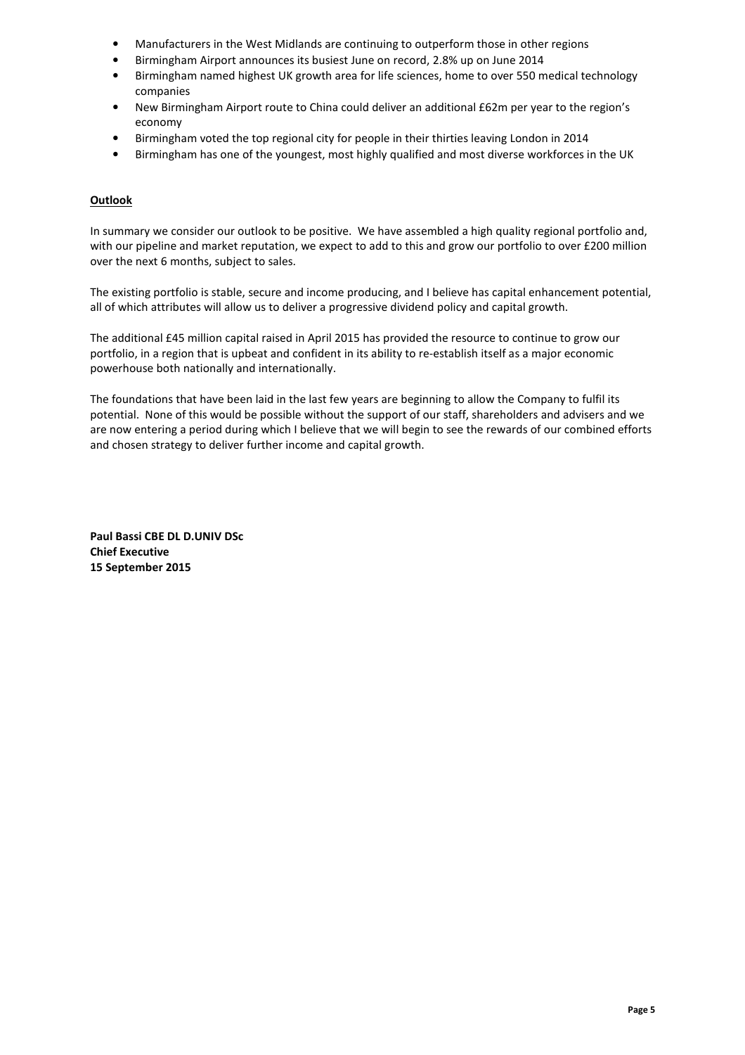- Manufacturers in the West Midlands are continuing to outperform those in other regions
- Birmingham Airport announces its busiest June on record, 2.8% up on June 2014
- Birmingham named highest UK growth area for life sciences, home to over 550 medical technology companies
- New Birmingham Airport route to China could deliver an additional £62m per year to the region's economy
- Birmingham voted the top regional city for people in their thirties leaving London in 2014
- Birmingham has one of the youngest, most highly qualified and most diverse workforces in the UK

### **Outlook**

In summary we consider our outlook to be positive. We have assembled a high quality regional portfolio and, with our pipeline and market reputation, we expect to add to this and grow our portfolio to over £200 million over the next 6 months, subject to sales.

The existing portfolio is stable, secure and income producing, and I believe has capital enhancement potential, all of which attributes will allow us to deliver a progressive dividend policy and capital growth.

The additional £45 million capital raised in April 2015 has provided the resource to continue to grow our portfolio, in a region that is upbeat and confident in its ability to re-establish itself as a major economic powerhouse both nationally and internationally.

The foundations that have been laid in the last few years are beginning to allow the Company to fulfil its potential. None of this would be possible without the support of our staff, shareholders and advisers and we are now entering a period during which I believe that we will begin to see the rewards of our combined efforts and chosen strategy to deliver further income and capital growth.

Paul Bassi CBE DL D.UNIV DSc Chief Executive 15 September 2015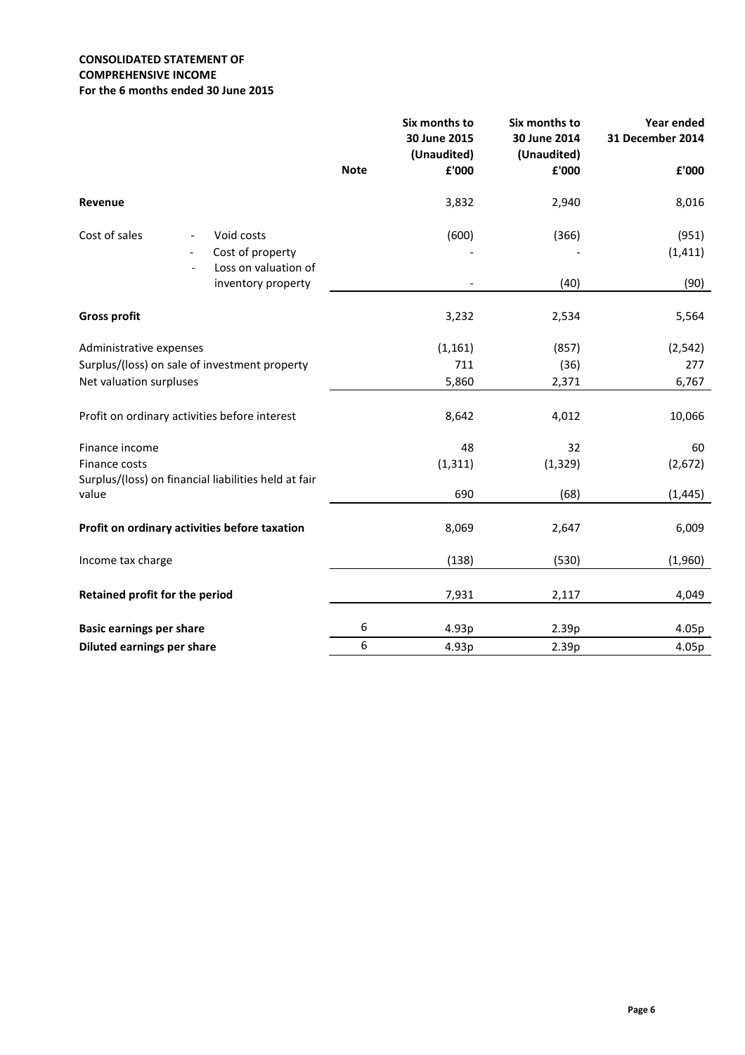### CONSOLIDATED STATEMENT OF COMPREHENSIVE INCOME For the 6 months ended 30 June 2015

|                                                      |                      |             | Six months to<br>30 June 2015<br>(Unaudited) | Six months to<br>30 June 2014<br>(Unaudited) | Year ended<br>31 December 2014 |
|------------------------------------------------------|----------------------|-------------|----------------------------------------------|----------------------------------------------|--------------------------------|
|                                                      |                      | <b>Note</b> | £'000                                        | £'000                                        | £'000                          |
| Revenue                                              |                      |             | 3,832                                        | 2,940                                        | 8,016                          |
| Cost of sales<br>$\overline{\phantom{a}}$            | Void costs           |             | (600)                                        | (366)                                        | (951)                          |
|                                                      | Cost of property     |             |                                              |                                              | (1, 411)                       |
|                                                      | Loss on valuation of |             |                                              |                                              |                                |
|                                                      | inventory property   |             |                                              | (40)                                         | (90)                           |
| <b>Gross profit</b>                                  |                      |             | 3,232                                        | 2,534                                        | 5,564                          |
| Administrative expenses                              |                      |             | (1, 161)                                     | (857)                                        | (2, 542)                       |
| Surplus/(loss) on sale of investment property        |                      |             | 711                                          | (36)                                         | 277                            |
| Net valuation surpluses                              |                      |             | 5,860                                        | 2,371                                        | 6,767                          |
|                                                      |                      |             |                                              |                                              |                                |
| Profit on ordinary activities before interest        |                      |             | 8,642                                        | 4,012                                        | 10,066                         |
| Finance income                                       |                      |             | 48                                           | 32                                           | 60                             |
| Finance costs                                        |                      |             | (1, 311)                                     | (1, 329)                                     | (2,672)                        |
| Surplus/(loss) on financial liabilities held at fair |                      |             |                                              |                                              |                                |
| value                                                |                      |             | 690                                          | (68)                                         | (1, 445)                       |
| Profit on ordinary activities before taxation        |                      |             | 8,069                                        | 2,647                                        | 6,009                          |
| Income tax charge                                    |                      |             | (138)                                        | (530)                                        | (1,960)                        |
| Retained profit for the period                       |                      |             | 7,931                                        | 2,117                                        | 4,049                          |
|                                                      |                      |             |                                              |                                              |                                |
| <b>Basic earnings per share</b>                      |                      | 6           | 4.93p                                        | 2.39p                                        | 4.05p                          |
| Diluted earnings per share                           |                      | $6\,$       | 4.93p                                        | 2.39p                                        | 4.05p                          |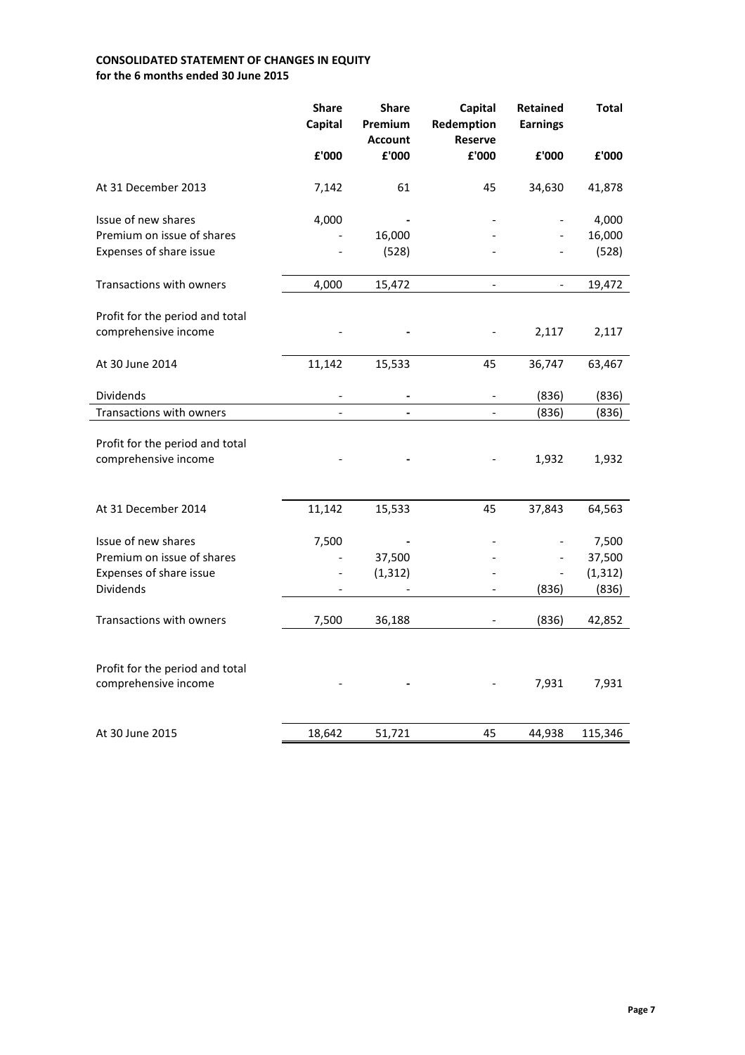# CONSOLIDATED STATEMENT OF CHANGES IN EQUITY for the 6 months ended 30 June 2015

|                                                         | <b>Share</b><br>Capital | <b>Share</b><br>Premium<br><b>Account</b> | Capital<br>Redemption<br><b>Reserve</b> | Retained<br><b>Earnings</b> | <b>Total</b> |
|---------------------------------------------------------|-------------------------|-------------------------------------------|-----------------------------------------|-----------------------------|--------------|
|                                                         | £'000                   | £'000                                     | £'000                                   | £'000                       | £'000        |
| At 31 December 2013                                     | 7,142                   | 61                                        | 45                                      | 34,630                      | 41,878       |
| Issue of new shares                                     | 4,000                   |                                           |                                         |                             | 4,000        |
| Premium on issue of shares                              |                         | 16,000                                    |                                         |                             | 16,000       |
| Expenses of share issue                                 |                         | (528)                                     |                                         | $\overline{\phantom{a}}$    | (528)        |
| Transactions with owners                                | 4,000                   | 15,472                                    | $\overline{\phantom{0}}$                | $\qquad \qquad -$           | 19,472       |
| Profit for the period and total                         |                         |                                           |                                         |                             |              |
| comprehensive income                                    |                         |                                           |                                         | 2,117                       | 2,117        |
| At 30 June 2014                                         | 11,142                  | 15,533                                    | 45                                      | 36,747                      | 63,467       |
| Dividends                                               | -                       |                                           | $\qquad \qquad \blacksquare$            | (836)                       | (836)        |
| Transactions with owners                                | $\overline{a}$          | $\blacksquare$                            | $\blacksquare$                          | (836)                       | (836)        |
| Profit for the period and total<br>comprehensive income |                         |                                           |                                         | 1,932                       | 1,932        |
|                                                         |                         |                                           |                                         |                             |              |
| At 31 December 2014                                     | 11,142                  | 15,533                                    | 45                                      | 37,843                      | 64,563       |
| Issue of new shares                                     | 7,500                   |                                           |                                         |                             | 7,500        |
| Premium on issue of shares                              |                         | 37,500                                    |                                         |                             | 37,500       |
| Expenses of share issue                                 |                         | (1, 312)                                  |                                         |                             | (1, 312)     |
| Dividends                                               |                         |                                           |                                         | (836)                       | (836)        |
| Transactions with owners                                | 7,500                   | 36,188                                    | $\qquad \qquad \blacksquare$            | (836)                       | 42,852       |
|                                                         |                         |                                           |                                         |                             |              |
| Profit for the period and total                         |                         |                                           |                                         |                             |              |
| comprehensive income                                    |                         |                                           |                                         | 7,931                       | 7,931        |
|                                                         |                         |                                           |                                         |                             |              |
| At 30 June 2015                                         | 18,642                  | 51,721                                    | 45                                      | 44,938                      | 115,346      |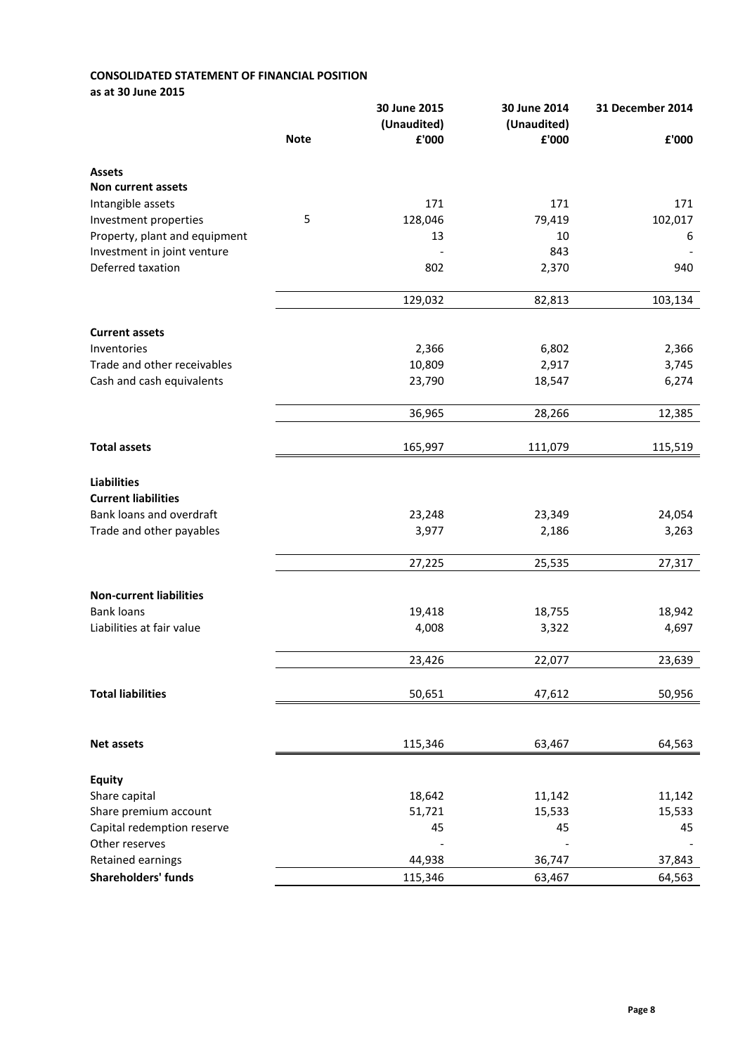### CONSOLIDATED STATEMENT OF FINANCIAL POSITION as at 30 June 2015

|                                |             | 30 June 2015 | 30 June 2014 | 31 December 2014 |  |
|--------------------------------|-------------|--------------|--------------|------------------|--|
|                                |             | (Unaudited)  | (Unaudited)  |                  |  |
|                                | <b>Note</b> | £'000        | £'000        | £'000            |  |
| <b>Assets</b>                  |             |              |              |                  |  |
| <b>Non current assets</b>      |             |              |              |                  |  |
| Intangible assets              |             | 171          | 171          | 171              |  |
| Investment properties          | 5           | 128,046      | 79,419       | 102,017          |  |
| Property, plant and equipment  |             | 13           | 10           | 6                |  |
| Investment in joint venture    |             |              | 843          |                  |  |
| Deferred taxation              |             | 802          | 2,370        | 940              |  |
|                                |             | 129,032      | 82,813       | 103,134          |  |
| <b>Current assets</b>          |             |              |              |                  |  |
| Inventories                    |             | 2,366        | 6,802        | 2,366            |  |
| Trade and other receivables    |             | 10,809       | 2,917        | 3,745            |  |
| Cash and cash equivalents      |             | 23,790       | 18,547       | 6,274            |  |
|                                |             |              |              |                  |  |
|                                |             | 36,965       | 28,266       | 12,385           |  |
|                                |             |              |              |                  |  |
| <b>Total assets</b>            |             | 165,997      | 111,079      | 115,519          |  |
| <b>Liabilities</b>             |             |              |              |                  |  |
| <b>Current liabilities</b>     |             |              |              |                  |  |
| Bank loans and overdraft       |             | 23,248       | 23,349       | 24,054           |  |
| Trade and other payables       |             | 3,977        | 2,186        | 3,263            |  |
|                                |             | 27,225       | 25,535       | 27,317           |  |
|                                |             |              |              |                  |  |
| <b>Non-current liabilities</b> |             |              |              |                  |  |
| <b>Bank loans</b>              |             | 19,418       | 18,755       | 18,942           |  |
| Liabilities at fair value      |             | 4,008        | 3,322        | 4,697            |  |
|                                |             | 23.426       | 22.077       | 23.639           |  |
| <b>Total liabilities</b>       |             | 50,651       | 47,612       | 50,956           |  |
|                                |             |              |              |                  |  |
| <b>Net assets</b>              |             | 115,346      | 63,467       | 64,563           |  |
|                                |             |              |              |                  |  |
| <b>Equity</b>                  |             |              |              |                  |  |
| Share capital                  |             | 18,642       | 11,142       | 11,142           |  |
| Share premium account          |             | 51,721       | 15,533       | 15,533           |  |
| Capital redemption reserve     |             | 45           | 45           | 45               |  |
| Other reserves                 |             |              |              |                  |  |
| Retained earnings              |             | 44,938       | 36,747       | 37,843           |  |
| Shareholders' funds            |             | 115,346      | 63,467       | 64,563           |  |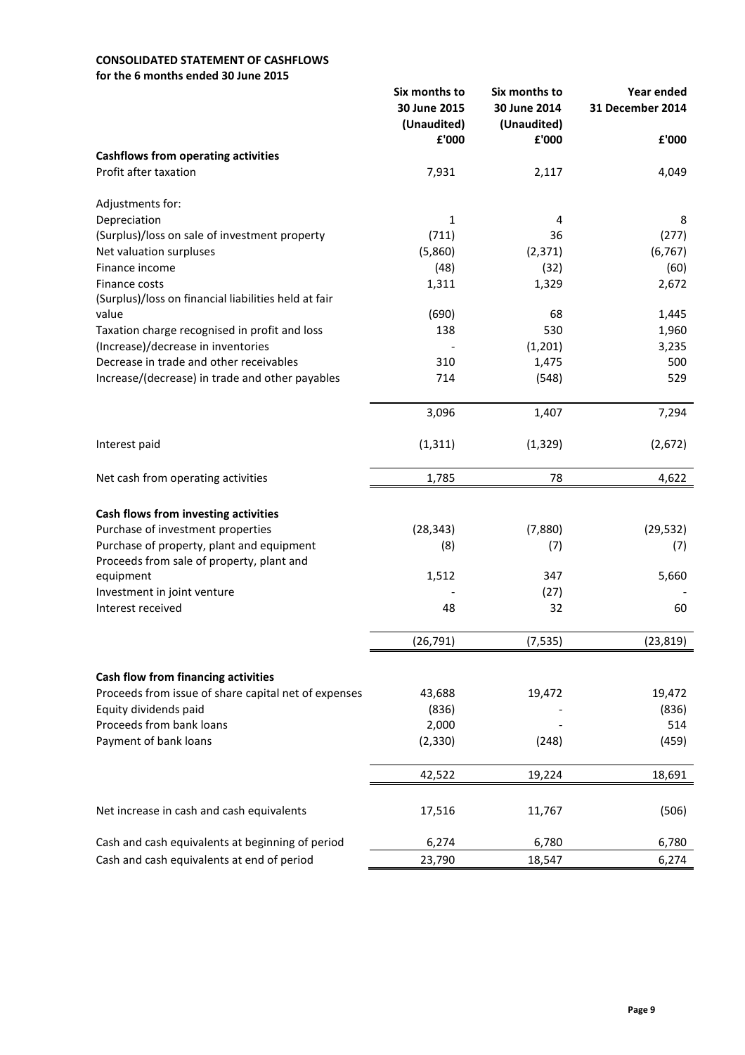# CONSOLIDATED STATEMENT OF CASHFLOWS

for the 6 months ended 30 June 2015

|                                                               | Six months to<br>30 June 2015 | Six months to<br>30 June 2014 | Year ended<br>31 December 2014 |
|---------------------------------------------------------------|-------------------------------|-------------------------------|--------------------------------|
|                                                               | (Unaudited)                   | (Unaudited)                   |                                |
|                                                               | £'000                         | £'000                         | £'000                          |
| <b>Cashflows from operating activities</b>                    |                               |                               |                                |
| Profit after taxation                                         | 7,931                         | 2,117                         | 4,049                          |
| Adjustments for:                                              |                               |                               |                                |
| Depreciation                                                  | 1                             | 4                             | 8                              |
| (Surplus)/loss on sale of investment property                 | (711)                         | 36                            | (277)                          |
| Net valuation surpluses                                       | (5,860)                       | (2, 371)                      | (6, 767)                       |
| Finance income                                                | (48)                          | (32)                          | (60)                           |
| Finance costs                                                 | 1,311                         | 1,329                         | 2,672                          |
| (Surplus)/loss on financial liabilities held at fair<br>value | (690)                         | 68                            | 1,445                          |
| Taxation charge recognised in profit and loss                 | 138                           | 530                           | 1,960                          |
| (Increase)/decrease in inventories                            |                               | (1, 201)                      | 3,235                          |
| Decrease in trade and other receivables                       | 310                           | 1,475                         | 500                            |
| Increase/(decrease) in trade and other payables               | 714                           | (548)                         | 529                            |
|                                                               |                               |                               |                                |
|                                                               | 3,096                         | 1,407                         | 7,294                          |
| Interest paid                                                 | (1, 311)                      | (1, 329)                      | (2,672)                        |
| Net cash from operating activities                            | 1,785                         | 78                            | 4,622                          |
|                                                               |                               |                               |                                |
| Cash flows from investing activities                          |                               |                               |                                |
| Purchase of investment properties                             | (28, 343)                     | (7,880)                       | (29, 532)                      |
| Purchase of property, plant and equipment                     | (8)                           | (7)                           | (7)                            |
| Proceeds from sale of property, plant and                     |                               |                               |                                |
| equipment                                                     | 1,512                         | 347                           | 5,660                          |
| Investment in joint venture                                   |                               | (27)                          |                                |
| Interest received                                             | 48                            | 32                            | 60                             |
|                                                               | (26, 791)                     | (7, 535)                      | (23, 819)                      |
|                                                               |                               |                               |                                |
| Cash flow from financing activities                           |                               |                               |                                |
| Proceeds from issue of share capital net of expenses          | 43,688                        | 19,472                        | 19,472                         |
| Equity dividends paid                                         | (836)                         |                               | (836)                          |
| Proceeds from bank loans                                      | 2,000                         |                               | 514                            |
| Payment of bank loans                                         | (2, 330)                      | (248)                         | (459)                          |
|                                                               | 42,522                        | 19,224                        | 18,691                         |
| Net increase in cash and cash equivalents                     | 17,516                        | 11,767                        | (506)                          |
| Cash and cash equivalents at beginning of period              | 6,274                         | 6,780                         | 6,780                          |
| Cash and cash equivalents at end of period                    | 23,790                        | 18,547                        | 6,274                          |
|                                                               |                               |                               |                                |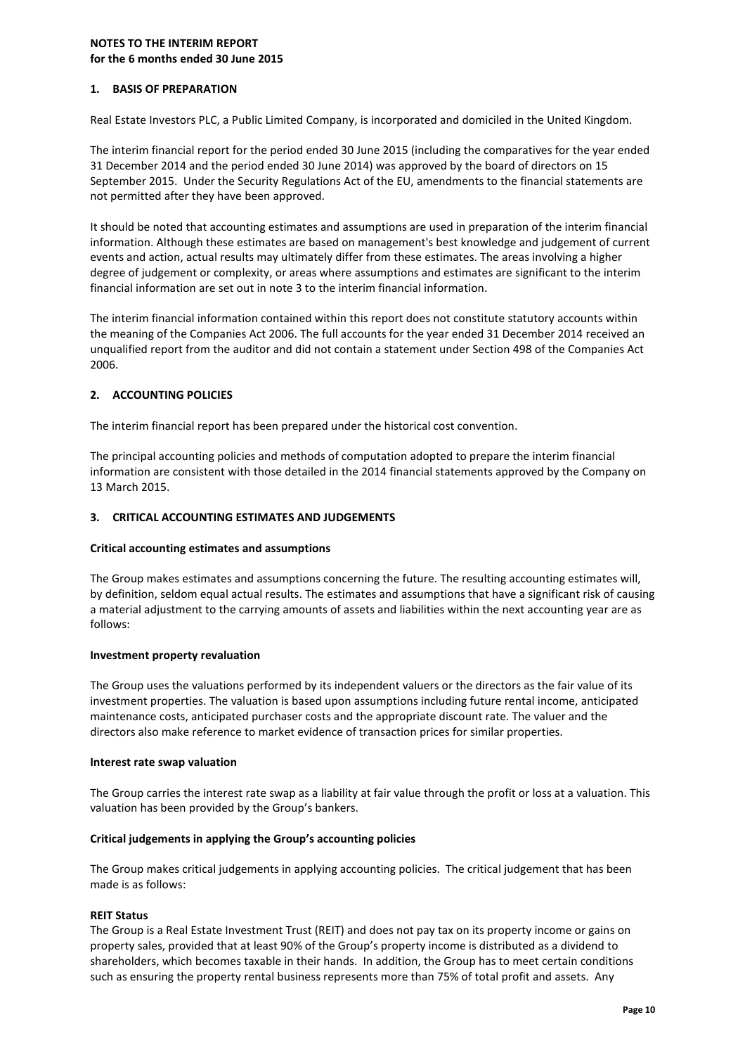### NOTES TO THE INTERIM REPORT for the 6 months ended 30 June 2015

### 1. BASIS OF PREPARATION

Real Estate Investors PLC, a Public Limited Company, is incorporated and domiciled in the United Kingdom.

The interim financial report for the period ended 30 June 2015 (including the comparatives for the year ended 31 December 2014 and the period ended 30 June 2014) was approved by the board of directors on 15 September 2015. Under the Security Regulations Act of the EU, amendments to the financial statements are not permitted after they have been approved.

It should be noted that accounting estimates and assumptions are used in preparation of the interim financial information. Although these estimates are based on management's best knowledge and judgement of current events and action, actual results may ultimately differ from these estimates. The areas involving a higher degree of judgement or complexity, or areas where assumptions and estimates are significant to the interim financial information are set out in note 3 to the interim financial information.

The interim financial information contained within this report does not constitute statutory accounts within the meaning of the Companies Act 2006. The full accounts for the year ended 31 December 2014 received an unqualified report from the auditor and did not contain a statement under Section 498 of the Companies Act 2006.

### 2. ACCOUNTING POLICIES

The interim financial report has been prepared under the historical cost convention.

The principal accounting policies and methods of computation adopted to prepare the interim financial information are consistent with those detailed in the 2014 financial statements approved by the Company on 13 March 2015.

### 3. CRITICAL ACCOUNTING ESTIMATES AND JUDGEMENTS

### Critical accounting estimates and assumptions

The Group makes estimates and assumptions concerning the future. The resulting accounting estimates will, by definition, seldom equal actual results. The estimates and assumptions that have a significant risk of causing a material adjustment to the carrying amounts of assets and liabilities within the next accounting year are as follows:

### Investment property revaluation

The Group uses the valuations performed by its independent valuers or the directors as the fair value of its investment properties. The valuation is based upon assumptions including future rental income, anticipated maintenance costs, anticipated purchaser costs and the appropriate discount rate. The valuer and the directors also make reference to market evidence of transaction prices for similar properties.

### Interest rate swap valuation

The Group carries the interest rate swap as a liability at fair value through the profit or loss at a valuation. This valuation has been provided by the Group's bankers.

### Critical judgements in applying the Group's accounting policies

The Group makes critical judgements in applying accounting policies. The critical judgement that has been made is as follows:

### REIT Status

The Group is a Real Estate Investment Trust (REIT) and does not pay tax on its property income or gains on property sales, provided that at least 90% of the Group's property income is distributed as a dividend to shareholders, which becomes taxable in their hands. In addition, the Group has to meet certain conditions such as ensuring the property rental business represents more than 75% of total profit and assets. Any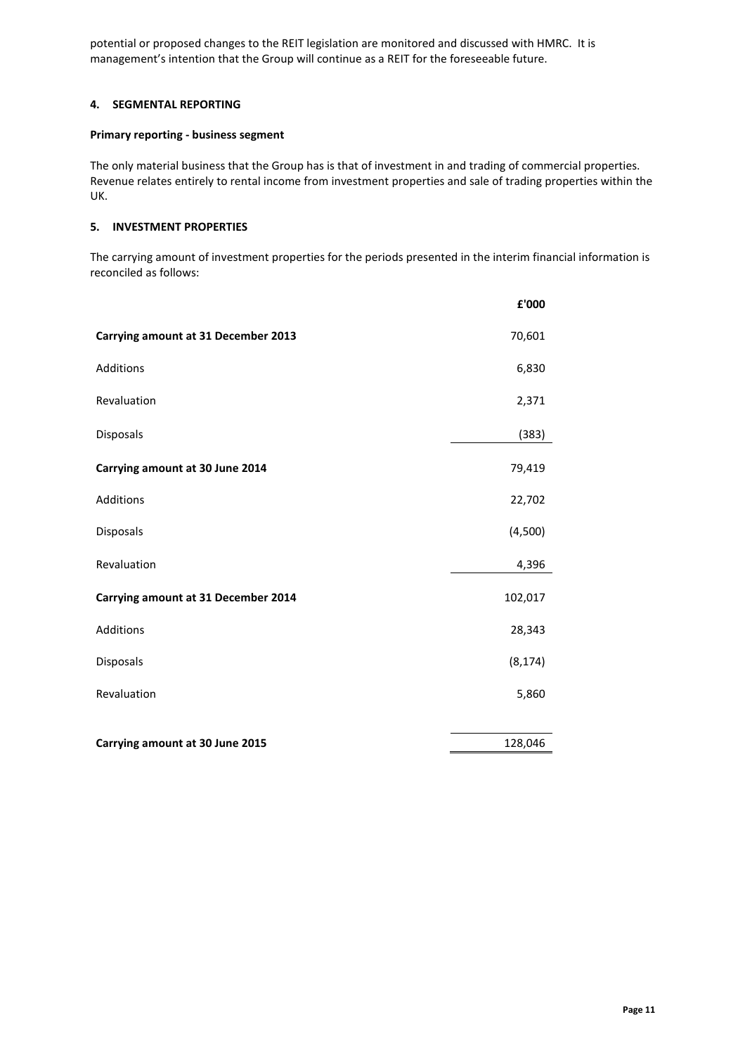potential or proposed changes to the REIT legislation are monitored and discussed with HMRC. It is management's intention that the Group will continue as a REIT for the foreseeable future.

### 4. SEGMENTAL REPORTING

#### Primary reporting - business segment

The only material business that the Group has is that of investment in and trading of commercial properties. Revenue relates entirely to rental income from investment properties and sale of trading properties within the UK.

### 5. INVESTMENT PROPERTIES

The carrying amount of investment properties for the periods presented in the interim financial information is reconciled as follows:

|                                     | £'000    |
|-------------------------------------|----------|
| Carrying amount at 31 December 2013 | 70,601   |
| Additions                           | 6,830    |
| Revaluation                         | 2,371    |
| Disposals                           | (383)    |
| Carrying amount at 30 June 2014     | 79,419   |
| Additions                           | 22,702   |
| Disposals                           | (4,500)  |
| Revaluation                         | 4,396    |
| Carrying amount at 31 December 2014 | 102,017  |
| Additions                           | 28,343   |
| Disposals                           | (8, 174) |
| Revaluation                         | 5,860    |
|                                     |          |
| Carrying amount at 30 June 2015     | 128,046  |